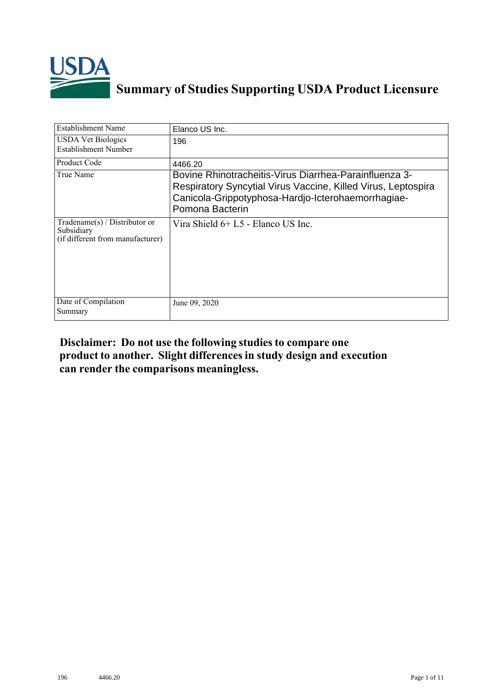

## **Summary of Studies Supporting USDA Product Licensure**

| <b>Establishment Name</b>                                                          | Elanco US Inc.                                                                                                                                                                                   |
|------------------------------------------------------------------------------------|--------------------------------------------------------------------------------------------------------------------------------------------------------------------------------------------------|
| <b>USDA Vet Biologics</b><br>Establishment Number                                  | 196                                                                                                                                                                                              |
| <b>Product Code</b>                                                                | 4466.20                                                                                                                                                                                          |
| True Name                                                                          | Bovine Rhinotracheitis-Virus Diarrhea-Parainfluenza 3-<br>Respiratory Syncytial Virus Vaccine, Killed Virus, Leptospira<br>Canicola-Grippotyphosa-Hardjo-Icterohaemorrhagiae-<br>Pomona Bacterin |
| Tradename $(s)$ / Distributor or<br>Subsidiary<br>(if different from manufacturer) | Vira Shield $6+L5$ - Elanco US Inc.                                                                                                                                                              |
| Date of Compilation<br>Summary                                                     | June 09, 2020                                                                                                                                                                                    |

## **Disclaimer: Do not use the following studiesto compare one product to another. Slight differencesin study design and execution can render the comparisons meaningless.**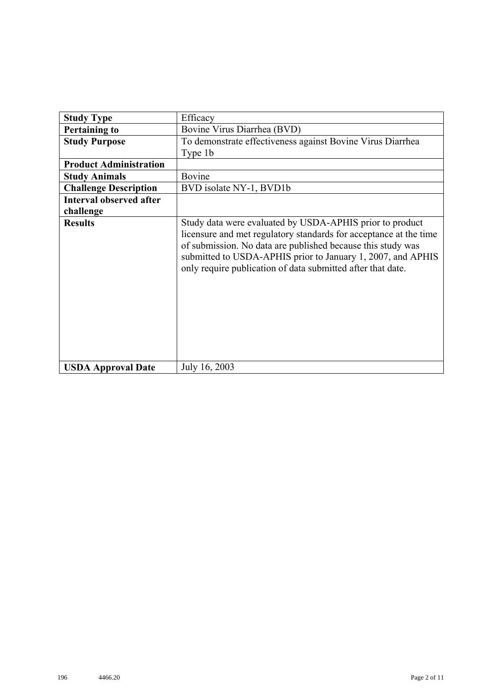| <b>Study Type</b>              | Efficacy                                                                                                                                                                                                                                                                                                                   |
|--------------------------------|----------------------------------------------------------------------------------------------------------------------------------------------------------------------------------------------------------------------------------------------------------------------------------------------------------------------------|
| <b>Pertaining to</b>           | Bovine Virus Diarrhea (BVD)                                                                                                                                                                                                                                                                                                |
| <b>Study Purpose</b>           | To demonstrate effectiveness against Bovine Virus Diarrhea                                                                                                                                                                                                                                                                 |
|                                | Type 1b                                                                                                                                                                                                                                                                                                                    |
| <b>Product Administration</b>  |                                                                                                                                                                                                                                                                                                                            |
| <b>Study Animals</b>           | Bovine                                                                                                                                                                                                                                                                                                                     |
| <b>Challenge Description</b>   | BVD isolate NY-1, BVD1b                                                                                                                                                                                                                                                                                                    |
| <b>Interval observed after</b> |                                                                                                                                                                                                                                                                                                                            |
| challenge                      |                                                                                                                                                                                                                                                                                                                            |
| <b>Results</b>                 | Study data were evaluated by USDA-APHIS prior to product<br>licensure and met regulatory standards for acceptance at the time<br>of submission. No data are published because this study was<br>submitted to USDA-APHIS prior to January 1, 2007, and APHIS<br>only require publication of data submitted after that date. |
| <b>USDA Approval Date</b>      | July 16, 2003                                                                                                                                                                                                                                                                                                              |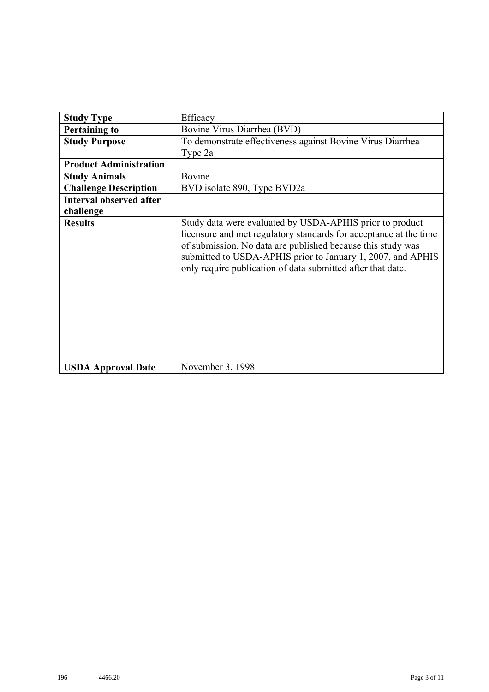| <b>Study Type</b>              | Efficacy                                                                                                                                                                                                                                                                                                                   |
|--------------------------------|----------------------------------------------------------------------------------------------------------------------------------------------------------------------------------------------------------------------------------------------------------------------------------------------------------------------------|
| <b>Pertaining to</b>           | Bovine Virus Diarrhea (BVD)                                                                                                                                                                                                                                                                                                |
| <b>Study Purpose</b>           | To demonstrate effectiveness against Bovine Virus Diarrhea                                                                                                                                                                                                                                                                 |
|                                | Type 2a                                                                                                                                                                                                                                                                                                                    |
| <b>Product Administration</b>  |                                                                                                                                                                                                                                                                                                                            |
| <b>Study Animals</b>           | Bovine                                                                                                                                                                                                                                                                                                                     |
| <b>Challenge Description</b>   | BVD isolate 890, Type BVD2a                                                                                                                                                                                                                                                                                                |
| <b>Interval observed after</b> |                                                                                                                                                                                                                                                                                                                            |
| challenge                      |                                                                                                                                                                                                                                                                                                                            |
| <b>Results</b>                 | Study data were evaluated by USDA-APHIS prior to product<br>licensure and met regulatory standards for acceptance at the time<br>of submission. No data are published because this study was<br>submitted to USDA-APHIS prior to January 1, 2007, and APHIS<br>only require publication of data submitted after that date. |
| <b>USDA Approval Date</b>      | November 3, 1998                                                                                                                                                                                                                                                                                                           |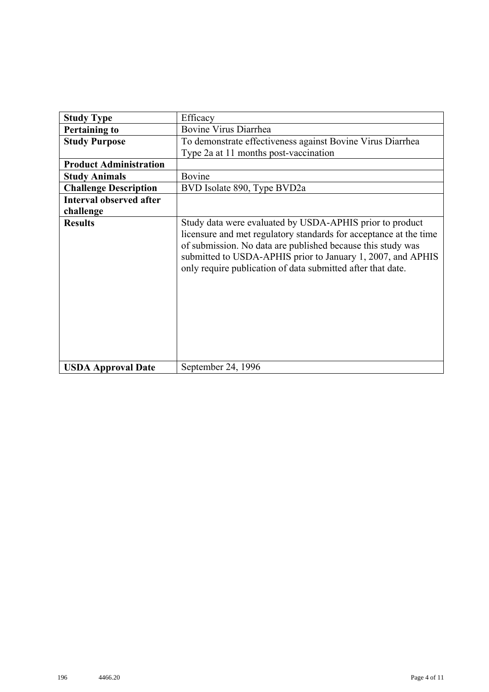| <b>Study Type</b>              | Efficacy                                                                                                                                                                                                                                                                                                                   |
|--------------------------------|----------------------------------------------------------------------------------------------------------------------------------------------------------------------------------------------------------------------------------------------------------------------------------------------------------------------------|
| <b>Pertaining to</b>           | <b>Bovine Virus Diarrhea</b>                                                                                                                                                                                                                                                                                               |
| <b>Study Purpose</b>           | To demonstrate effectiveness against Bovine Virus Diarrhea                                                                                                                                                                                                                                                                 |
|                                | Type 2a at 11 months post-vaccination                                                                                                                                                                                                                                                                                      |
| <b>Product Administration</b>  |                                                                                                                                                                                                                                                                                                                            |
| <b>Study Animals</b>           | Bovine                                                                                                                                                                                                                                                                                                                     |
| <b>Challenge Description</b>   | BVD Isolate 890, Type BVD2a                                                                                                                                                                                                                                                                                                |
| <b>Interval observed after</b> |                                                                                                                                                                                                                                                                                                                            |
| challenge                      |                                                                                                                                                                                                                                                                                                                            |
| <b>Results</b>                 | Study data were evaluated by USDA-APHIS prior to product<br>licensure and met regulatory standards for acceptance at the time<br>of submission. No data are published because this study was<br>submitted to USDA-APHIS prior to January 1, 2007, and APHIS<br>only require publication of data submitted after that date. |
| <b>USDA Approval Date</b>      | September 24, 1996                                                                                                                                                                                                                                                                                                         |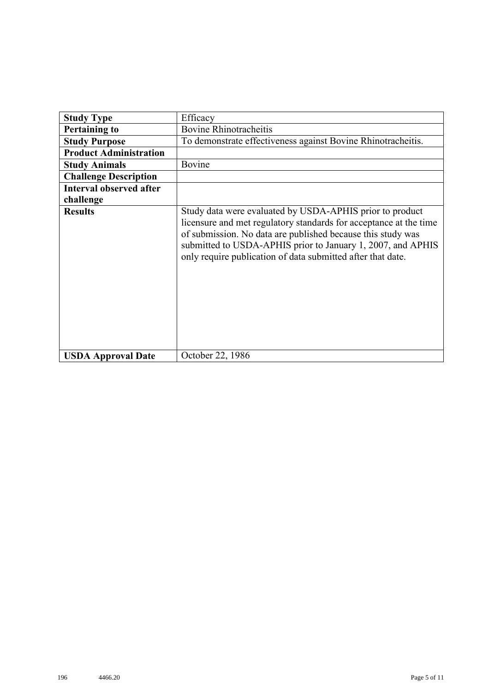| <b>Study Type</b>              | Efficacy                                                                                                                                                                                                                                                                                                                   |
|--------------------------------|----------------------------------------------------------------------------------------------------------------------------------------------------------------------------------------------------------------------------------------------------------------------------------------------------------------------------|
| <b>Pertaining to</b>           | <b>Bovine Rhinotracheitis</b>                                                                                                                                                                                                                                                                                              |
| <b>Study Purpose</b>           | To demonstrate effectiveness against Bovine Rhinotracheitis.                                                                                                                                                                                                                                                               |
| <b>Product Administration</b>  |                                                                                                                                                                                                                                                                                                                            |
| <b>Study Animals</b>           | Bovine                                                                                                                                                                                                                                                                                                                     |
| <b>Challenge Description</b>   |                                                                                                                                                                                                                                                                                                                            |
| <b>Interval observed after</b> |                                                                                                                                                                                                                                                                                                                            |
| challenge                      |                                                                                                                                                                                                                                                                                                                            |
| <b>Results</b>                 | Study data were evaluated by USDA-APHIS prior to product<br>licensure and met regulatory standards for acceptance at the time<br>of submission. No data are published because this study was<br>submitted to USDA-APHIS prior to January 1, 2007, and APHIS<br>only require publication of data submitted after that date. |
| <b>USDA Approval Date</b>      | October 22, 1986                                                                                                                                                                                                                                                                                                           |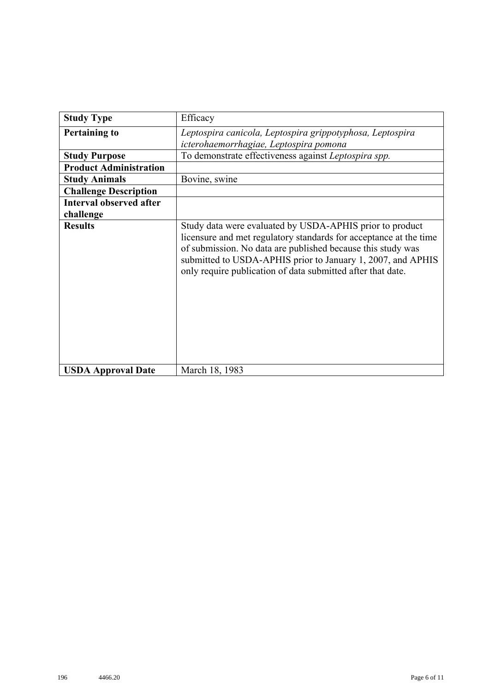| <b>Study Type</b>              | Efficacy                                                                                                                                                                                                                                                                                                                   |
|--------------------------------|----------------------------------------------------------------------------------------------------------------------------------------------------------------------------------------------------------------------------------------------------------------------------------------------------------------------------|
| <b>Pertaining to</b>           | Leptospira canicola, Leptospira grippotyphosa, Leptospira                                                                                                                                                                                                                                                                  |
|                                | icterohaemorrhagiae, Leptospira pomona                                                                                                                                                                                                                                                                                     |
| <b>Study Purpose</b>           | To demonstrate effectiveness against Leptospira spp.                                                                                                                                                                                                                                                                       |
| <b>Product Administration</b>  |                                                                                                                                                                                                                                                                                                                            |
| <b>Study Animals</b>           | Bovine, swine                                                                                                                                                                                                                                                                                                              |
| <b>Challenge Description</b>   |                                                                                                                                                                                                                                                                                                                            |
| <b>Interval observed after</b> |                                                                                                                                                                                                                                                                                                                            |
| challenge                      |                                                                                                                                                                                                                                                                                                                            |
| <b>Results</b>                 | Study data were evaluated by USDA-APHIS prior to product<br>licensure and met regulatory standards for acceptance at the time<br>of submission. No data are published because this study was<br>submitted to USDA-APHIS prior to January 1, 2007, and APHIS<br>only require publication of data submitted after that date. |
| <b>USDA Approval Date</b>      | March 18, 1983                                                                                                                                                                                                                                                                                                             |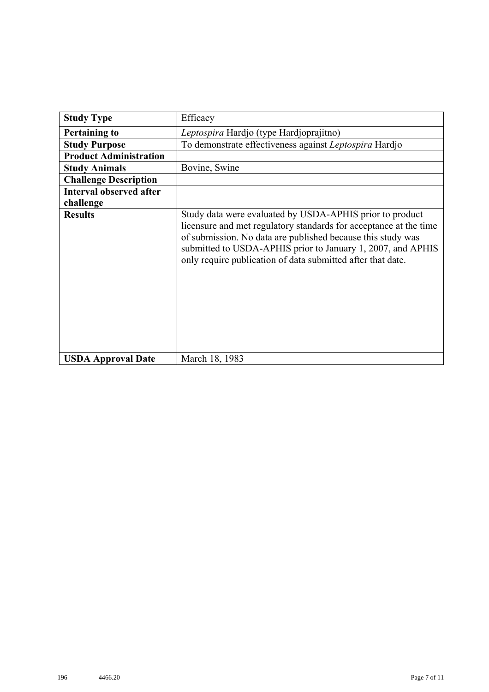| <b>Study Type</b>              | Efficacy                                                                                                                                                                                                                                                                                                                   |
|--------------------------------|----------------------------------------------------------------------------------------------------------------------------------------------------------------------------------------------------------------------------------------------------------------------------------------------------------------------------|
| <b>Pertaining to</b>           | Leptospira Hardjo (type Hardjoprajitno)                                                                                                                                                                                                                                                                                    |
| <b>Study Purpose</b>           | To demonstrate effectiveness against Leptospira Hardjo                                                                                                                                                                                                                                                                     |
| <b>Product Administration</b>  |                                                                                                                                                                                                                                                                                                                            |
| <b>Study Animals</b>           | Bovine, Swine                                                                                                                                                                                                                                                                                                              |
| <b>Challenge Description</b>   |                                                                                                                                                                                                                                                                                                                            |
| <b>Interval observed after</b> |                                                                                                                                                                                                                                                                                                                            |
| challenge                      |                                                                                                                                                                                                                                                                                                                            |
| <b>Results</b>                 | Study data were evaluated by USDA-APHIS prior to product<br>licensure and met regulatory standards for acceptance at the time<br>of submission. No data are published because this study was<br>submitted to USDA-APHIS prior to January 1, 2007, and APHIS<br>only require publication of data submitted after that date. |
| <b>USDA Approval Date</b>      | March 18, 1983                                                                                                                                                                                                                                                                                                             |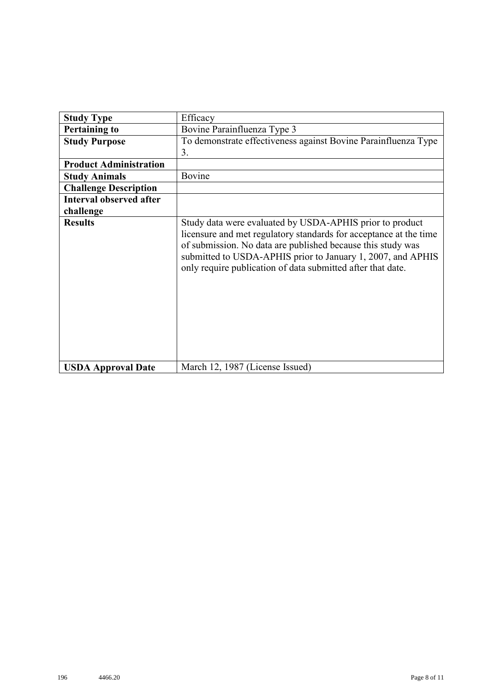| <b>Study Type</b>              | Efficacy                                                                                                                                                                                                                                                                                                                   |
|--------------------------------|----------------------------------------------------------------------------------------------------------------------------------------------------------------------------------------------------------------------------------------------------------------------------------------------------------------------------|
| <b>Pertaining to</b>           | Bovine Parainfluenza Type 3                                                                                                                                                                                                                                                                                                |
| <b>Study Purpose</b>           | To demonstrate effectiveness against Bovine Parainfluenza Type                                                                                                                                                                                                                                                             |
|                                | 3.                                                                                                                                                                                                                                                                                                                         |
| <b>Product Administration</b>  |                                                                                                                                                                                                                                                                                                                            |
| <b>Study Animals</b>           | Bovine                                                                                                                                                                                                                                                                                                                     |
| <b>Challenge Description</b>   |                                                                                                                                                                                                                                                                                                                            |
| <b>Interval observed after</b> |                                                                                                                                                                                                                                                                                                                            |
| challenge                      |                                                                                                                                                                                                                                                                                                                            |
| <b>Results</b>                 | Study data were evaluated by USDA-APHIS prior to product<br>licensure and met regulatory standards for acceptance at the time<br>of submission. No data are published because this study was<br>submitted to USDA-APHIS prior to January 1, 2007, and APHIS<br>only require publication of data submitted after that date. |
| <b>USDA Approval Date</b>      | March 12, 1987 (License Issued)                                                                                                                                                                                                                                                                                            |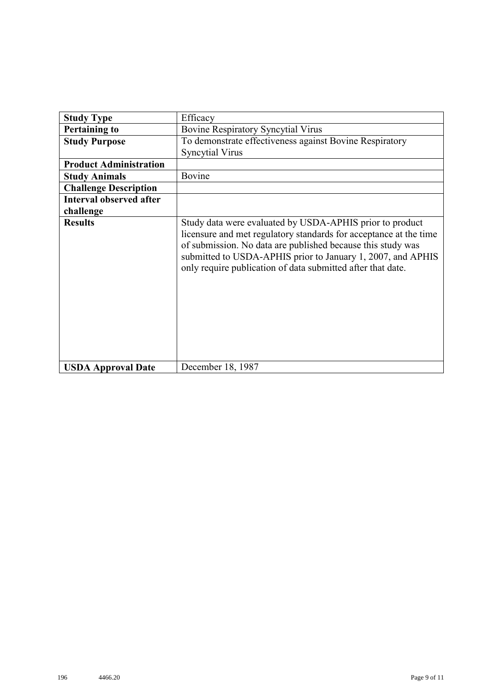| <b>Study Type</b>              | Efficacy                                                                                                                                                                                                                                                                                                                   |
|--------------------------------|----------------------------------------------------------------------------------------------------------------------------------------------------------------------------------------------------------------------------------------------------------------------------------------------------------------------------|
| <b>Pertaining to</b>           | <b>Bovine Respiratory Syncytial Virus</b>                                                                                                                                                                                                                                                                                  |
| <b>Study Purpose</b>           | To demonstrate effectiveness against Bovine Respiratory                                                                                                                                                                                                                                                                    |
|                                | <b>Syncytial Virus</b>                                                                                                                                                                                                                                                                                                     |
| <b>Product Administration</b>  |                                                                                                                                                                                                                                                                                                                            |
| <b>Study Animals</b>           | Bovine                                                                                                                                                                                                                                                                                                                     |
| <b>Challenge Description</b>   |                                                                                                                                                                                                                                                                                                                            |
| <b>Interval observed after</b> |                                                                                                                                                                                                                                                                                                                            |
| challenge                      |                                                                                                                                                                                                                                                                                                                            |
| <b>Results</b>                 | Study data were evaluated by USDA-APHIS prior to product<br>licensure and met regulatory standards for acceptance at the time<br>of submission. No data are published because this study was<br>submitted to USDA-APHIS prior to January 1, 2007, and APHIS<br>only require publication of data submitted after that date. |
| <b>USDA Approval Date</b>      | December 18, 1987                                                                                                                                                                                                                                                                                                          |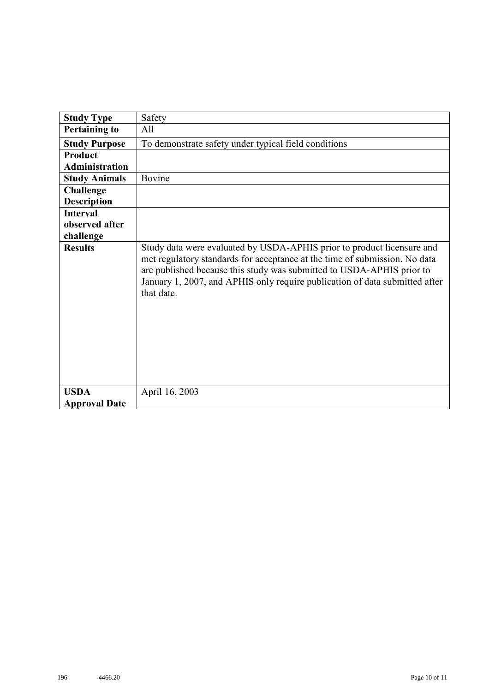| <b>Study Type</b>     | Safety                                                                                                                                                                                                                                                                                                                     |
|-----------------------|----------------------------------------------------------------------------------------------------------------------------------------------------------------------------------------------------------------------------------------------------------------------------------------------------------------------------|
| <b>Pertaining to</b>  | All                                                                                                                                                                                                                                                                                                                        |
| <b>Study Purpose</b>  | To demonstrate safety under typical field conditions                                                                                                                                                                                                                                                                       |
| Product               |                                                                                                                                                                                                                                                                                                                            |
| <b>Administration</b> |                                                                                                                                                                                                                                                                                                                            |
| <b>Study Animals</b>  | Bovine                                                                                                                                                                                                                                                                                                                     |
| <b>Challenge</b>      |                                                                                                                                                                                                                                                                                                                            |
| <b>Description</b>    |                                                                                                                                                                                                                                                                                                                            |
| <b>Interval</b>       |                                                                                                                                                                                                                                                                                                                            |
| observed after        |                                                                                                                                                                                                                                                                                                                            |
| challenge             |                                                                                                                                                                                                                                                                                                                            |
| <b>Results</b>        | Study data were evaluated by USDA-APHIS prior to product licensure and<br>met regulatory standards for acceptance at the time of submission. No data<br>are published because this study was submitted to USDA-APHIS prior to<br>January 1, 2007, and APHIS only require publication of data submitted after<br>that date. |
| <b>USDA</b>           | April 16, 2003                                                                                                                                                                                                                                                                                                             |
| <b>Approval Date</b>  |                                                                                                                                                                                                                                                                                                                            |